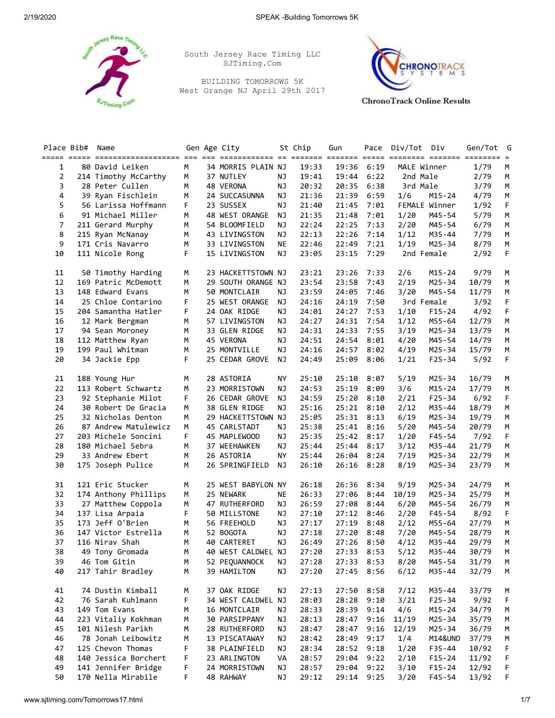

South Jersey Race Timing LLC SJTiming.Com

BUILDING TOMORROWS 5K West Orange NJ April 29th 2017



**ChronoTrack Online Results** 

| Place Bib#     | Name                 |   | Gen Age City       |           | St Chip | Gun   | Pace | Div/Tot     | Div           | Gen/Tot | G         |
|----------------|----------------------|---|--------------------|-----------|---------|-------|------|-------------|---------------|---------|-----------|
| 1              | 80 David Leiken      | M | 34 MORRIS PLAIN NJ |           | 19:33   | 19:36 | 6:19 | MALE Winner |               | 1/79    | М         |
| $\overline{2}$ | 214 Timothy McCarthy | М | 37 NUTLEY          | ΝJ        | 19:41   | 19:44 | 6:22 | 2nd Male    |               | 2/79    | M         |
| 3              | 28 Peter Cullen      | М | 48 VERONA          | <b>NJ</b> | 20:32   | 20:35 | 6:38 | 3rd Male    |               | 3/79    | М         |
| 4              | 39 Ryan Fischlein    | М | 24 SUCCASUNNA      | ΝJ        | 21:36   | 21:39 | 6:59 | 1/6         | $M15 - 24$    | 4/79    | M         |
| 5              | 56 Larissa Hoffmann  | F | 23 SUSSEX          | NJ        | 21:40   | 21:45 | 7:01 |             | FEMALE Winner | 1/92    | F         |
| 6              | 91 Michael Miller    | М | 48 WEST ORANGE     | ΝJ        | 21:35   | 21:48 | 7:01 | 1/20        | M45-54        | 5/79    | М         |
| $\overline{7}$ | 211 Gerard Murphy    | М | 54 BLOOMFIELD      | <b>NJ</b> | 22:24   | 22:25 | 7:13 | 2/20        | M45-54        | 6/79    | М         |
| 8              | 215 Ryan McNanay     | M | 43 LIVINGSTON      | ΝJ        | 22:13   | 22:26 | 7:14 | 1/12        | M35-44        | 7/79    | М         |
| 9              | 171 Cris Navarro     | M | 33 LIVINGSTON      | ΝE        | 22:46   | 22:49 | 7:21 | 1/19        | $M25 - 34$    | 8/79    | м         |
| 10             | 111 Nicole Rong      | F | 15 LIVINGSTON      | ΝJ        | 23:05   | 23:15 | 7:29 | 2nd Female  |               | 2/92    | F         |
|                |                      |   |                    |           |         |       |      |             |               |         |           |
| 11             | 50 Timothy Harding   | М | 23 HACKETTSTOWN NJ |           | 23:21   | 23:26 | 7:33 | 2/6         | M15-24        | 9/79    | М         |
| 12             | 169 Patric McDemott  | м | 29 SOUTH ORANGE NJ |           | 23:54   | 23:58 | 7:43 | 2/19        | M25-34        | 10/79   | М         |
| 13             | 148 Edward Evans     | М | 50 MONTCLAIR       | ΝJ        | 23:59   | 24:05 | 7:46 | 3/20        | M45-54        | 11/79   | М         |
| 14             | 25 Chloe Contarino   | F | 25 WEST ORANGE     | ΝJ        | 24:16   | 24:19 | 7:50 | 3rd Female  |               | 3/92    | F         |
| 15             | 204 Samantha Hatler  | F | 24 OAK RIDGE       | <b>NJ</b> | 24:01   | 24:27 | 7:53 | 1/10        | $F15 - 24$    | 4/92    | F         |
| 16             | 12 Mark Bergman      | М | 57 LIVINGSTON      | ΝJ        | 24:27   | 24:31 | 7:54 | 1/12        | M55-64        | 12/79   | M         |
| 17             | 94 Sean Moroney      | М | 33 GLEN RIDGE      | ΝJ        | 24:31   | 24:33 | 7:55 | 3/19        | M25-34        | 13/79   | M         |
| 18             | 112 Matthew Ryan     | M | 45 VERONA          | ΝJ        | 24:51   | 24:54 | 8:01 | 4/20        | M45-54        | 14/79   | М         |
| 19             | 199 Paul Whitman     | М | 25 MONTVILLE       | ΝJ        | 24:16   | 24:57 | 8:02 | 4/19        | M25-34        | 15/79   | М         |
| 20             | 34 Jackie Epp        | F | 25 CEDAR GROVE     | ΝJ        | 24:49   | 25:09 | 8:06 | 1/21        | $F25 - 34$    | 5/92    | F         |
| 21             | 188 Young Hur        | М | 28 ASTORIA         | ΝY        | 25:10   | 25:10 | 8:07 | 5/19        | $M25 - 34$    | 16/79   | М         |
| 22             | 113 Robert Schwartz  | М | 23 MORRISTOWN      | ΝJ        | 24:53   | 25:19 | 8:09 | 3/6         | $M15 - 24$    | 17/79   | М         |
| 23             | 92 Stephanie Milot   | F | 26 CEDAR GROVE     | ΝJ        | 24:59   | 25:20 | 8:10 | 2/21        | $F25 - 34$    | 6/92    | F         |
| 24             | 30 Robert De Gracia  | М | 38 GLEN RIDGE      | ΝJ        | 25:16   | 25:21 | 8:10 | 2/12        | M35-44        | 18/79   |           |
| 25             | 32 Nicholas Denton   | М | 29 HACKETTSTOWN NJ |           | 25:05   | 25:31 | 8:13 | 6/19        | M25-34        | 19/79   | М         |
| 26             | 87 Andrew Matulewicz | М | 45 CARLSTADT       | ΝJ        | 25:38   | 25:41 | 8:16 | 5/20        | M45-54        | 20/79   | М         |
| 27             | 203 Michele Soncini  | F | 45 MAPLEWOOD       | ΝJ        | 25:35   | 25:42 | 8:17 | 1/20        | F45-54        | 7/92    | М<br>F    |
| 28             | 180 Michael Sebra    | М | 37 WEEHAWKEN       | ΝJ        | 25:44   | 25:44 | 8:17 | 3/12        | M35-44        | 21/79   | М         |
| 29             | 33 Andrew Ebert      | М | 26 ASTORIA         | ΝY        | 25:44   | 26:04 | 8:24 | 7/19        | M25-34        | 22/79   | М         |
| 30             | 175 Joseph Pulice    | М | 26 SPRINGFIELD     | ΝJ        | 26:10   | 26:16 | 8:28 | 8/19        | $M25 - 34$    | 23/79   | М         |
|                |                      |   |                    |           |         |       |      |             |               |         |           |
| 31             | 121 Eric Stucker     | М | 25 WEST BABYLON NY |           | 26:18   | 26:36 | 8:34 | 9/19        | M25-34        | 24/79   | М         |
| 32             | 174 Anthony Phillips | М | 25 NEWARK          | ΝE        | 26:33   | 27:06 | 8:44 | 10/19       | M25-34        | 25/79   | М         |
| 33             | 27 Matthew Coppola   | М | 47 RUTHERFORD      | ΝJ        | 26:59   | 27:08 | 8:44 | 6/20        | M45-54        | 26/79   | М         |
| 34             | 137 Lisa Arpaia      | F | 50 MILLSTONE       | ΝJ        | 27:10   | 27:12 | 8:46 | 2/20        | F45-54        | 8/92    | F         |
| 35             | 173 Jeff O'Brien     | М | 56 FREEHOLD        | NJ        | 27:17   | 27:19 | 8:48 | 2/12        | M55-64        | 27/79   | М         |
| 36             | 147 Victor Estrella  | М | 52 BOGOTA          | NJ        | 27:18   | 27:20 | 8:48 | 7/20        | M45-54        | 28/79   | М         |
| 37             | 116 Nirav Shah       | М | 40 CARTERET        | NJ        | 26:49   | 27:26 | 8:50 | 4/12        | M35-44        | 29/79   | М         |
| 38             | 49 Tony Gromada      | M | 40 WEST CALDWEL NJ |           | 27:20   | 27:33 | 8:53 | 5/12        | M35-44        | 30/79   | ${\sf M}$ |
| 39             | 46 Tom Gitin         | М | 52 PEQUANNOCK      | NJ        | 27:28   | 27:33 | 8:53 | 8/20        | M45-54        | 31/79   | М         |
| 40             | 217 Tahir Bradley    | М | 39 HAMILTON        | <b>NJ</b> | 27:20   | 27:45 | 8:56 | 6/12        | M35-44        | 32/79   | М         |
| 41             | 74 Dustin Kimball    | М | 37 OAK RIDGE       | ΝJ        | 27:13   | 27:50 | 8:58 | 7/12        | M35-44        | 33/79   | M         |
| 42             | 76 Sarah Kuhlmann    | F | 34 WEST CALDWEL NJ |           | 28:03   | 28:28 | 9:10 | 3/21        | $F25 - 34$    | 9/92    | F         |
| 43             | 149 Tom Evans        | М | 16 MONTCLAIR       | NJ        | 28:33   | 28:39 | 9:14 | 4/6         | $M15 - 24$    | 34/79   | м         |
| 44             | 223 Vitaliy Kokhman  | М | 30 PARSIPPANY      | <b>NJ</b> | 28:13   | 28:47 | 9:16 | 11/19       | $M25 - 34$    | 35/79   | M         |
| 45             | 101 Nilesh Parikh    | М | 28 RUTHERFORD      | <b>NJ</b> | 28:47   | 28:47 | 9:16 | 12/19       | M25-34        | 36/79   | M         |
| 46             | 78 Jonah Leibowitz   | м | 13 PISCATAWAY      | ΝJ        | 28:42   | 28:49 | 9:17 | 1/4         | M14&UND       | 37/79   | M         |
| 47             | 125 Chevon Thomas    | F | 38 PLAINFIELD      | NJ        | 28:34   | 28:52 | 9:18 | 1/20        | F35-44        | 10/92   | F         |
| 48             | 140 Jessica Borchert | F | 23 ARLINGTON       | VA        | 28:57   | 29:04 | 9:22 | 2/10        | $F15 - 24$    | 11/92   | F         |
| 49             | 141 Jennifer Bridge  | F | 24 MORRISTOWN      | <b>NJ</b> | 28:57   | 29:04 | 9:22 | 3/10        | $F15 - 24$    | 12/92   | F         |
| 50             | 170 Nella Mirabile   | F | 48 RAHWAY          | NJ        | 29:12   | 29:14 | 9:25 | 3/20        | F45-54        | 13/92   | F         |
|                |                      |   |                    |           |         |       |      |             |               |         |           |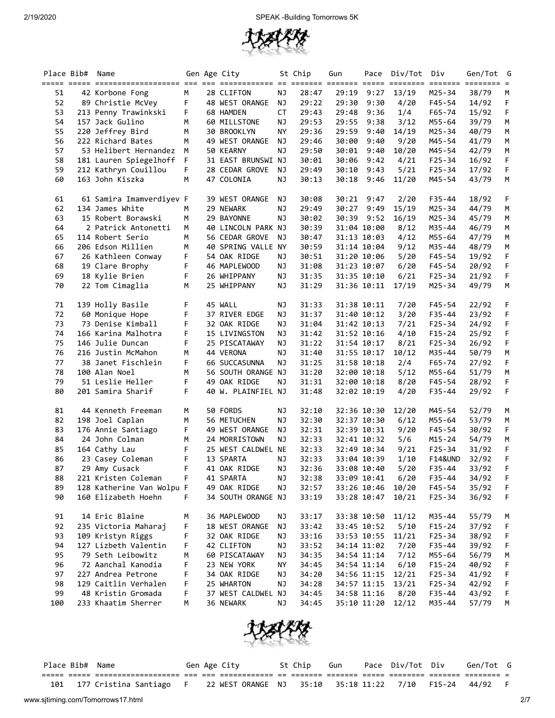

|     | Place Bib# | Name                      |   | Gen Age City       |           | St Chip | Gun         | Pace        | Div/Tot | Div<br>$=$ $=$ $=$ $=$ $=$ $=$ | Gen/Tot G<br>$=$ $=$ $=$ $=$ $=$ $=$ |   |
|-----|------------|---------------------------|---|--------------------|-----------|---------|-------------|-------------|---------|--------------------------------|--------------------------------------|---|
| 51  |            | 42 Korbone Fong           | М | 28 CLIFTON         | ΝJ        | 28:47   | 29:19       | 9:27        | 13/19   | $M25 - 34$                     | 38/79                                | М |
| 52  |            | 89 Christie McVey         | F | 48 WEST ORANGE     | NJ        | 29:22   | 29:30       | 9:30        | 4/20    | F45-54                         | 14/92                                | F |
| 53  |            | 213 Penny Trawinkski      | F | 68 HAMDEN          | <b>CT</b> | 29:43   | 29:48       | 9:36        | 1/4     | $F65 - 74$                     | 15/92                                | F |
| 54  |            | 157 Jack Gulino           | М | 60 MILLSTONE       | <b>NJ</b> | 29:53   | 29:55       | 9:38        | 3/12    | M55-64                         | 39/79                                | М |
| 55  |            | 220 Jeffrey Bird          | М | 30 BROOKLYN        | <b>NY</b> | 29:36   | 29:59       | 9:40        | 14/19   | $M25 - 34$                     | 40/79                                | М |
| 56  |            | 222 Richard Bates         | М | 49 WEST ORANGE     | <b>NJ</b> | 29:46   | 30:00       | 9:40        | 9/20    | M45-54                         | 41/79                                | M |
| 57  |            | 53 Helibert Hernandez     | M | 50 KEARNY          | ΝJ        | 29:50   | 30:01       | 9:40        | 10/20   | M45-54                         | 42/79                                | М |
| 58  |            | 181 Lauren Spiegelhoff    | F | 31 EAST BRUNSWI NJ |           | 30:01   | 30:06       | 9:42        | 4/21    | $F25 - 34$                     | 16/92                                | F |
| 59  |            | 212 Kathryn Couillou      | F | 28 CEDAR GROVE     | ΝJ        | 29:49   | 30:10       | 9:43        | 5/21    | $F25 - 34$                     | 17/92                                | F |
| 60  |            | 163 John Kiszka           | М | 47 COLONIA         | <b>NJ</b> | 30:13   | 30:18       | 9:46        | 11/20   | M45-54                         | 43/79                                | M |
| 61  |            | 61 Samira Imamverdiyev F  |   | 39 WEST ORANGE     | ΝJ        | 30:08   | 30:21       | 9:47        | 2/20    | $F35 - 44$                     | 18/92                                | F |
| 62  |            | 134 James White           | м | 29 NEWARK          | <b>NJ</b> | 29:49   | 30:27       | 9:49        | 15/19   | M25-34                         | 44/79                                | М |
| 63  |            | 15 Robert Borawski        | М | 29 BAYONNE         | <b>NJ</b> | 30:02   | 30:39       | 9:52        | 16/19   | M25-34                         | 45/79                                | М |
| 64  |            | 2 Patrick Antonetti       | М | 40 LINCOLN PARK NJ |           | 30:39   | 31:04 10:00 |             | 8/12    | M35-44                         | 46/79                                | M |
| 65  |            | 114 Robert Serio          | M | 56 CEDAR GROVE     | ΝJ        | 30:47   |             | 31:13 10:03 | 4/12    | M55-64                         | 47/79                                | М |
| 66  |            | 206 Edson Millien         | М | 40 SPRING VALLE NY |           | 30:59   |             | 31:14 10:04 | 9/12    | M35-44                         | 48/79                                | М |
| 67  |            | 26 Kathleen Conway        | F | 54 OAK RIDGE       | ΝJ        | 30:51   | 31:20 10:06 |             | 5/20    | F45-54                         | 19/92                                | F |
| 68  |            | 19 Clare Brophy           | F | 46 MAPLEWOOD       | NJ        | 31:08   |             | 31:23 10:07 | 6/20    | $F45 - 54$                     | 20/92                                | F |
| 69  |            | 18 Kylie Brien            | F | 26 WHIPPANY        | NJ        | 31:35   |             | 31:35 10:10 | 6/21    | $F25 - 34$                     | 21/92                                | F |
| 70  |            | 22 Tom Cimaglia           | М | 25 WHIPPANY        | <b>NJ</b> | 31:29   |             | 31:36 10:11 | 17/19   | M25-34                         | 49/79                                | М |
| 71  |            | 139 Holly Basile          | F | 45 WALL            | NJ        | 31:33   |             | 31:38 10:11 | 7/20    | F45-54                         | 22/92                                | F |
| 72  |            | 60 Monique Hope           | F | 37 RIVER EDGE      | <b>NJ</b> | 31:37   |             | 31:40 10:12 | 3/20    | $F35 - 44$                     | 23/92                                | F |
| 73  |            | 73 Denise Kimball         | F | 32 OAK RIDGE       | <b>NJ</b> | 31:04   |             | 31:42 10:13 | 7/21    | $F25 - 34$                     | 24/92                                | F |
| 74  |            | 166 Karina Malhotra       | F | 15 LIVINGSTON      | ΝJ        | 31:42   | 31:52 10:16 |             | 4/10    | $F15 - 24$                     | 25/92                                | F |
| 75  |            | 146 Julie Duncan          | F | 25 PISCATAWAY      | ΝJ        | 31:22   | 31:54 10:17 |             | 8/21    | $F25 - 34$                     | 26/92                                | F |
| 76  |            | 216 Justin McMahon        | М | 44 VERONA          | <b>NJ</b> | 31:40   |             | 31:55 10:17 | 10/12   | M35-44                         | 50/79                                | М |
| 77  |            | 38 Janet Fischlein        | F | 66 SUCCASUNNA      | <b>NJ</b> | 31:25   |             | 31:58 10:18 | 2/4     | $F65 - 74$                     | 27/92                                | F |
| 78  |            | 100 Alan Noel             | M | 56 SOUTH ORANGE NJ |           | 31:20   |             | 32:00 10:18 | 5/12    | M55-64                         | 51/79                                | M |
| 79  |            | 51 Leslie Heller          | F | 49 OAK RIDGE       | <b>NJ</b> | 31:31   |             | 32:00 10:18 | 8/20    | F45-54                         | 28/92                                | F |
| 80  |            | 201 Samira Sharif         | F | 40 W. PLAINFIEL NJ |           | 31:48   | 32:02 10:19 |             | 4/20    | $F35 - 44$                     | 29/92                                | F |
| 81  |            | 44 Kenneth Freeman        | М | 50 FORDS           | ΝJ        | 32:10   |             | 32:36 10:30 | 12/20   | M45-54                         | 52/79                                | М |
| 82  |            | 198 Joel Caplan           | М | <b>56 METUCHEN</b> | <b>NJ</b> | 32:30   | 32:37 10:30 |             | 6/12    | M55-64                         | 53/79                                | М |
| 83  |            | 176 Annie Santiago        | F | 49 WEST ORANGE     | <b>NJ</b> | 32:31   | 32:39 10:31 |             | 9/20    | F45-54                         | 30/92                                | F |
| 84  |            | 24 John Colman            | М | 24 MORRISTOWN      | <b>NJ</b> | 32:33   |             | 32:41 10:32 | 5/6     | $M15 - 24$                     | 54/79                                | M |
| 85  |            | 164 Cathy Lau             | F | 25 WEST CALDWEL NE |           | 32:33   |             | 32:49 10:34 | 9/21    | $F25 - 34$                     | 31/92                                | F |
| 86  |            | 23 Casey Coleman          | F | 13 SPARTA          | NJ        | 32:33   |             | 33:04 10:39 | 1/10    | <b>F14&amp;UND</b>             | 32/92                                | F |
| 87  |            | 29 Amy Cusack             | F | 41 OAK RIDGE       | <b>NJ</b> | 32:36   |             | 33:08 10:40 | 5/20    | $F35 - 44$                     | 33/92                                | F |
| 88  |            | 221 Kristen Coleman       | F | 41 SPARTA          | ΝJ        | 32:38   | 33:09 10:41 |             | 6/20    | $F35 - 44$                     | 34/92                                | F |
| 89  |            | 128 Katherine Van Wolpu F |   | 49 OAK RIDGE       | NJ        | 32:57   |             | 33:26 10:46 | 10/20   | F45-54                         | 35/92                                | F |
| 90  |            | 160 Elizabeth Hoehn       | F | 34 SOUTH ORANGE NJ |           | 33:19   |             | 33:28 10:47 | 10/21   | $F25 - 34$                     | 36/92                                | F |
| 91  |            | 14 Eric Blaine            | М | 36 MAPLEWOOD       | ΝJ        | 33:17   |             | 33:38 10:50 | 11/12   | M35-44                         | 55/79                                | M |
| 92  |            | 235 Victoria Maharaj      | F | 18 WEST ORANGE     | <b>NJ</b> | 33:42   |             | 33:45 10:52 | 5/10    | $F15 - 24$                     | 37/92                                | F |
| 93  |            | 109 Kristyn Riggs         | F | 32 OAK RIDGE       | <b>NJ</b> | 33:16   |             | 33:53 10:55 | 11/21   | $F25 - 34$                     | 38/92                                | F |
| 94  |            | 127 Lizbeth Valentin      | F | 42 CLIFTON         | <b>NJ</b> | 33:52   |             | 34:14 11:02 | 7/20    | F35-44                         | 39/92                                | F |
| 95  |            | 79 Seth Leibowitz         | М | 60 PISCATAWAY      | NJ        | 34:35   |             | 34:54 11:14 | 7/12    | M55-64                         | 56/79                                | M |
| 96  |            | 72 Aanchal Kanodia        | F | 23 NEW YORK        | ΝY        | 34:45   |             | 34:54 11:14 | 6/10    | $F15 - 24$                     | 40/92                                | F |
| 97  |            | 227 Andrea Petrone        | F | 34 OAK RIDGE       | NJ        | 34:20   |             | 34:56 11:15 | 12/21   | F25-34                         | 41/92                                | F |
| 98  |            | 129 Caitlin Verhalen      | F | 25 WHARTON         | <b>NJ</b> | 34:28   |             | 34:57 11:15 | 13/21   | $F25 - 34$                     | 42/92                                | F |
| 99  |            | 48 Kristin Gromada        | F | 37 WEST CALDWEL NJ |           | 34:45   |             | 34:58 11:16 | 8/20    | $F35 - 44$                     | 43/92                                | F |
| 100 |            | 233 Khaatim Sherrer       | M | 36 NEWARK          | <b>NJ</b> | 34:45   |             | 35:10 11:20 | 12/12   | M35-44                         | 57/79                                | М |



| Place Bib# Name |                           |  | Gen Age City |                   | St Chip | Gun | Pace Div/Tot Div          | Gen/Tot G |  |
|-----------------|---------------------------|--|--------------|-------------------|---------|-----|---------------------------|-----------|--|
|                 |                           |  |              |                   |         |     |                           |           |  |
| 101             | 177 Cristina Santiago - F |  |              | 22 WEST ORANGE NJ | 35:10   |     | 35:18 11:22  7/10  F15-24 | 44/92     |  |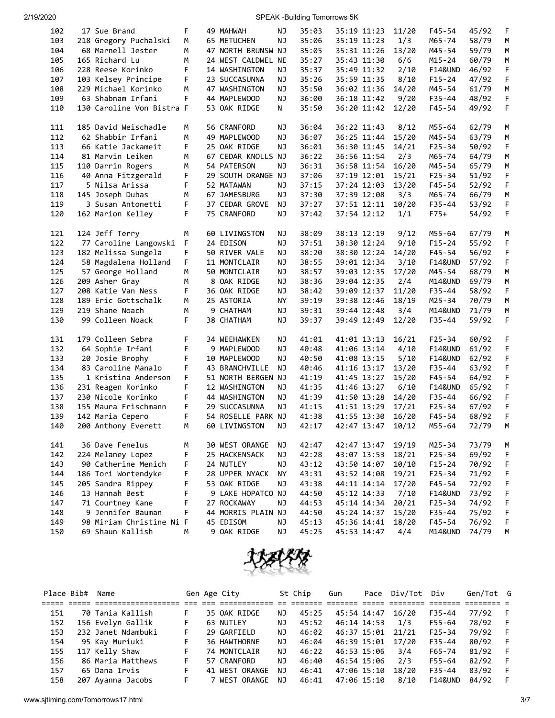| 102        | 17 Sue Brand                          | F      | 49 MAHWAH                        | ΝJ        | 35:03          | 35:19 11:23                | 11/20          | F45-54               | 45/92          | F      |
|------------|---------------------------------------|--------|----------------------------------|-----------|----------------|----------------------------|----------------|----------------------|----------------|--------|
| 103        | 218 Gregory Puchalski                 | м      | 65 METUCHEN                      | ΝJ        | 35:06          | 35:19 11:23                | 1/3            | M65-74               | 58/79          | М      |
| 104        | 68 Marnell Jester                     | М      | 47 NORTH BRUNSW NJ               |           | 35:05          | 35:31 11:26                | 13/20          | M45-54               | 59/79          | М      |
| 105        | 165 Richard Lu                        | М      | 24 WEST CALDWEL NE               |           | 35:27          | 35:43 11:30                | 6/6            | $M15 - 24$           | 60/79          | М      |
| 106        | 228 Reese Korinko                     | F      | 14 WASHINGTON                    | ΝJ        | 35:37          | 35:49 11:32                | 2/10           | <b>F14&amp;UND</b>   | 46/92          | F      |
| 107        | 103 Kelsey Principe                   | F      | 23 SUCCASUNNA                    | ΝJ        | 35:26          | 35:59 11:35                | 8/10           | $F15 - 24$           | 47/92          | F      |
| 108        | 229 Michael Korinko                   | м      | 47 WASHINGTON                    | ΝJ        | 35:50          | 36:02 11:36                | 14/20          | M45-54               | 61/79          | М      |
| 109        | 63 Shabnam Irfani                     | F      | 44 MAPLEWOOD                     | ΝJ        | 36:00          | 36:18 11:42                | 9/20           | $F35 - 44$           | 48/92          | F      |
| 110        | 130 Caroline Von Bistra F             |        | 53 OAK RIDGE                     | N         | 35:50          | 36:20 11:42                | 12/20          | $F45 - 54$           | 49/92          | F      |
| 111        | 185 David Weischadle                  | м      | 56 CRANFORD                      | ΝJ        | 36:04          | 36:22 11:43                | 8/12           | M55-64               | 62/79          | М      |
| 112        | 62 Shabbir Irfani                     | М      | 49 MAPLEWOOD                     | ΝJ        | 36:07          | 36:25 11:44                | 15/20          | M45-54               | 63/79          | М      |
| 113        | 66 Katie Jackameit                    | F      | 25 OAK RIDGE                     | ΝJ        | 36:01          | 36:30 11:45                | 14/21          | $F25 - 34$           | 50/92          | F      |
| 114        | 81 Marvin Leiken                      | м      | 67 CEDAR KNOLLS NJ               |           | 36:22          | 36:56 11:54                | 2/3            | M65-74               | 64/79          | М      |
| 115        | 110 Darrin Rogers                     | м      | 54 PATERSON                      | ΝJ        | 36:31          | 36:58 11:54                | 16/20          | M45-54               | 65/79          | М      |
| 116        | 40 Anna Fitzgerald                    | F      | 29 SOUTH ORANGE NJ               |           | 37:06          | 37:19 12:01                | 15/21          | $F25 - 34$           | 51/92          | F      |
| 117        | 5 Nilsa Arissa                        | F      | 52 MATAWAN                       | NJ        | 37:15          | 37:24 12:03                | 13/20          | F45-54               | 52/92          | F      |
| 118        | 145 Joseph Dubas                      | M      | 67 JAMESBURG                     | <b>NJ</b> | 37:30          | 37:39 12:08                | 3/3            | M65-74               | 66/79          | М      |
| 119        | 3 Susan Antonetti                     | F      | 37 CEDAR GROVE                   | <b>NJ</b> | 37:27          | 37:51 12:11                | 10/20          | $F35 - 44$           | 53/92          | F      |
| 120        | 162 Marion Kelley                     | F      | 75 CRANFORD                      | ΝJ        | 37:42          | 37:54 12:12                | 1/1            | $F75+$               | 54/92          | F      |
| 121        | 124 Jeff Terry                        | м      | 60 LIVINGSTON                    | NJ        | 38:09          | 38:13 12:19                | 9/12           | M55-64               | 67/79          | М      |
| 122        | 77 Caroline Langowski                 | F      | 24 EDISON                        | ΝJ        | 37:51          | 38:30 12:24                | 9/10           | $F15 - 24$           | 55/92          | F      |
| 123        | 182 Melissa Sungela                   | F      | 50 RIVER VALE                    | ΝJ        | 38:20          | 38:30 12:24                | 14/20          | $F45 - 54$           | 56/92          | F      |
| 124        | 58 Magdalena Holland                  | F      | 11 MONTCLAIR                     | ΝJ        | 38:55          | 39:01 12:34                | 3/10           | <b>F14&amp;UND</b>   | 57/92          | F      |
| 125        | 57 George Holland                     | M      | 50 MONTCLAIR                     | NJ        | 38:57          | 39:03 12:35                | 17/20          | M45-54               | 68/79          | М      |
| 126        | 209 Asher Gray                        | М      | 8 OAK RIDGE                      | NJ        | 38:36          | 39:04 12:35                | 2/4            | M14&UND              | 69/79          | М      |
| 127        | 208 Katie Van Ness                    | F      | 36 OAK RIDGE                     | NJ        | 38:42          | 39:09 12:37                | 11/20          | $F35 - 44$           | 58/92          | F      |
| 128        | 189 Eric Gottschalk                   | М      | 25 ASTORIA                       | NΥ        | 39:19          | 39:38 12:46                | 18/19          | M25-34               | 70/79          | М      |
| 129        | 219 Shane Noach                       | м      | 9 CHATHAM                        | NJ        | 39:31          | 39:44 12:48                | 3/4            | M14&UND              | 71/79          | М      |
| 130        | 99 Colleen Noack                      | F      | 38 CHATHAM                       | NJ        | 39:37          | 39:49 12:49                | 12/20          | F35-44               | 59/92          | F      |
| 131        | 179 Colleen Sebra                     | F      | 34 WEEHAWKEN                     | ΝJ        | 41:01          | 41:01 13:13                | 16/21          | $F25 - 34$           | 60/92          | F      |
| 132        | 64 Sophie Irfani                      | F      | 9 MAPLEWOOD                      | NJ        | 40:48          | 41:06 13:14                | 4/10           | <b>F14&amp;UND</b>   | 61/92          | F      |
| 133        | 20 Josie Brophy                       | F      | 10 MAPLEWOOD                     | ΝJ        | 40:50          | 41:08 13:15                | 5/10           | <b>F14&amp;UND</b>   | 62/92          | F      |
| 134        | 83 Caroline Manalo                    | F      | 43 BRANCHVILLE                   | ΝJ        | 40:46          | 41:16 13:17                | 13/20          | $F35 - 44$           | 63/92          | F      |
| 135        | 1 Kristina Anderson                   | F      | 51 NORTH BERGEN NJ               |           | 41:19          | 41:45 13:27                | 15/20          | F45-54               | 64/92          | F      |
| 136        | 231 Reagen Korinko                    | F      | 12 WASHINGTON                    | ΝJ        | 41:35          | 41:46 13:27                | 6/10           | <b>F14&amp;UND</b>   | 65/92          | F      |
| 137        | 230 Nicole Korinko                    | F      | 44 WASHINGTON                    | <b>NJ</b> | 41:39          | 41:50 13:28                | 14/20          | $F35 - 44$           | 66/92          | F      |
| 138        | 155 Maura Frischmann                  | F      | 29 SUCCASUNNA                    | <b>NJ</b> | 41:15          | 41:51 13:29                | 17/21          | $F25 - 34$           | 67/92          | F      |
| 139        | 142 Maria Cepero                      | F      | 54 ROSELLE PARK NJ               |           | 41:38          | 41:55 13:30                | 16/20          | $F45 - 54$           | 68/92          | F      |
| 140        | 200 Anthony Everett                   | м      | 60 LIVINGSTON                    | ΝJ        | 42:17          | 42:47 13:47                | 10/12          | M55-64               | 72/79          | М      |
| 141        | 36 Dave Fenelus                       | м      | 30 WEST ORANGE                   | ΝJ        | 42:47          | 42:47 13:47                | 19/19          | M25-34               | 73/79          | M      |
| 142        | 224 Melaney Lopez                     | F      | 25 HACKENSACK                    | <b>NJ</b> | 42:28          | 43:07 13:53                | 18/21          | $F25 - 34$           | 69/92          | F      |
| 143        | 90 Catherine Menich                   | F      | 24 NUTLEY                        | ΝJ        | 43:12          | 43:50 14:07                | 10/10          | $F15 - 24$           | 70/92          | F      |
| 144        | 186 Tori Wortendyke                   | F      | 28 UPPER NYACK                   | <b>NY</b> | 43:31          | 43:52 14:08                | 19/21          | F25-34               | 71/92          | F      |
| 145        | 205 Sandra Rippey                     | F      | 53 OAK RIDGE                     | ΝJ        | 43:38          | 44:11 14:14                | 17/20          | F45-54               | 72/92          | F      |
| 146        | 13 Hannah Best                        | F<br>F | 9 LAKE HOPATCO NJ<br>27 ROCKAWAY |           | 44:50          | 45:12 14:33                | 7/10           | <b>F14&amp;UND</b>   | 73/92<br>74/92 | F      |
| 147        | 71 Courtney Kane<br>9 Jennifer Bauman | F      |                                  | ΝJ        | 44:53          | 45:14 14:34                | 20/21          | $F25 - 34$           |                | F<br>F |
| 148<br>149 | 98 Miriam Christine Ni F              |        | 44 MORRIS PLAIN NJ<br>45 EDISOM  | NJ        | 44:50<br>45:13 | 45:24 14:37<br>45:36 14:41 | 15/20<br>18/20 | $F35 - 44$<br>F45-54 | 75/92<br>76/92 | F      |
| 150        | 69 Shaun Kallish                      | М      | 9 OAK RIDGE                      | NJ        | 45:25          | 45:53 14:47                | 4/4            | M14&UND              | 74/79          | М      |
|            |                                       |        |                                  |           |                |                            |                |                      |                |        |



| Place Bib# | Name               |    | Gen Age City   |    | St Chip | Gun         | Pace Div/Tot      | Div                | Gen/Tot G |  |
|------------|--------------------|----|----------------|----|---------|-------------|-------------------|--------------------|-----------|--|
|            |                    |    |                |    |         |             |                   |                    |           |  |
| 151        | 70 Tania Kallish   |    | 35 OAK RIDGE   | ΝJ | 45:25   | 45:54 14:47 | 16/20             | F35-44             | 77/92     |  |
| 152        | 156 Evelyn Gallik  | F. | 63 NUTLEY      | ΝJ | 45:52   | 46:14 14:53 | 1/3               | F55-64             | 78/92     |  |
| 153        | 232 Janet Ndambuki | F. | 29 GARFIELD    | ΝJ | 46:02   |             | 46:37 15:01 21/21 | $F25 - 34$         | 79/92     |  |
| 154        | 95 Kay Muriuki     | F. | 36 HAWTHORNE   | ΝJ | 46:04   | 46:39 15:01 | 17/20             | $F35 - 44$         | 80/92     |  |
| 155        | 117 Kelly Shaw     | F. | 74 MONTCLAIR   | ΝJ | 46:22   | 46:53 15:06 | 3/4               | F65-74             | 81/92     |  |
| 156        | 86 Maria Matthews  | F. | 57 CRANFORD    | ΝJ | 46:40   | 46:54 15:06 | 2/3               | F55-64             | 82/92     |  |
| 157        | 65 Dana Irvis      | F. | 41 WEST ORANGE | ΝJ | 46:41   | 47:06 15:10 | 18/20             | $F35 - 44$         | 83/92     |  |
| 158        | 207 Ayanna Jacobs  | F. | 7 WEST ORANGE  | NJ | 46:41   | 47:06 15:10 | 8/10              | <b>F14&amp;UND</b> | 84/92     |  |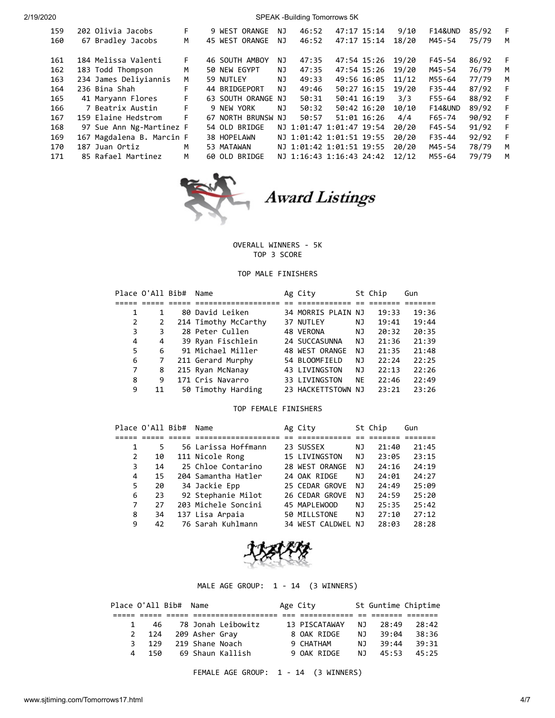| 159 | 202 Olivia Jacobs         | F. | 9 WEST ORANGE      | ΝJ  | 46:52 | 47:17 15:14              |                 | 9/10  | <b>F14&amp;UND</b> | 85/92 | F |
|-----|---------------------------|----|--------------------|-----|-------|--------------------------|-----------------|-------|--------------------|-------|---|
| 160 | 67 Bradley Jacobs         | М  | 45 WEST ORANGE     | ΝJ  | 46:52 | 47:17 15:14              |                 | 18/20 | M45-54             | 75/79 | M |
|     |                           |    |                    |     |       |                          |                 |       |                    |       |   |
| 161 | 184 Melissa Valenti       | F. | 46 SOUTH AMBOY     | ΝJ  | 47:35 | 47:54 15:26              |                 | 19/20 | F45-54             | 86/92 | F |
| 162 | 183 Todd Thompson         | M  | 50 NEW EGYPT       | NJ. | 47:35 |                          | 47:54 15:26     | 19/20 | M45-54             | 76/79 | M |
| 163 | 234 James Deliyiannis     | M  | 59 NUTLEY          | ΝJ  | 49:33 | 49:56 16:05              |                 | 11/12 | M55-64             | 77/79 | м |
| 164 | 236 Bina Shah             | F. | 44 BRIDGEPORT      | ΝJ  | 49:46 | 50:27 16:15              |                 | 19/20 | $F35 - 44$         | 87/92 | F |
| 165 | 41 Maryann Flores         | F. | 63 SOUTH ORANGE NJ |     | 50:31 | 50:41 16:19              |                 | 3/3   | $F55 - 64$         | 88/92 | F |
| 166 | 7 Beatrix Austin          | F. | 9 NEW YORK         | ΝJ  | 50:32 |                          | 50:42 16:20     | 10/10 | <b>F14&amp;UND</b> | 89/92 | F |
| 167 | 159 Elaine Hedstrom       | F. | 67 NORTH BRUNSW NJ |     | 50:57 |                          | $51:01$ $16:26$ | 4/4   | $F65 - 74$         | 90/92 | F |
| 168 | 97 Sue Ann Ng-Martinez F  |    | 54 OLD BRIDGE      |     |       | NJ 1:01:47 1:01:47 19:54 |                 | 20/20 | $F45 - 54$         | 91/92 | F |
| 169 | 167 Magdalena B. Marcin F |    | 38 HOPELAWN        |     |       | NJ 1:01:42 1:01:51 19:55 |                 | 20/20 | $F35 - 44$         | 92/92 | F |
| 170 | 187 Juan Ortiz            | M  | 53 MATAWAN         |     |       | NJ 1:01:42 1:01:51 19:55 |                 | 20/20 | M45-54             | 78/79 | м |
| 171 | 85 Rafael Martinez        | M  | 60 OLD BRIDGE      |     |       | NJ 1:16:43 1:16:43 24:42 |                 | 12/12 | M55-64             | 79/79 | м |



Award Listings

OVERALL WINNERS - 5K TOP 3 SCORE

## TOP MALE FINISHERS

|    | Place O'All Bib# | Name                 | Ag City            |           | St Chip | Gun   |
|----|------------------|----------------------|--------------------|-----------|---------|-------|
|    |                  |                      |                    |           |         |       |
|    |                  | 80 David Leiken      | 34 MORRIS PLAIN NJ |           | 19:33   | 19:36 |
| 2  |                  | 214 Timothy McCarthy | 37 NUTLEY          | ΝJ        | 19:41   | 19:44 |
| 3  | 3                | 28 Peter Cullen      | 48 VERONA          | ΝJ        | 20:32   | 20:35 |
| 4  | 4                | 39 Ryan Fischlein    | 24 SUCCASUNNA      | NJ        | 21:36   | 21:39 |
| 5. | 6                | 91 Michael Miller    | 48 WEST ORANGE     | NJ        | 21:35   | 21:48 |
| 6  |                  | 211 Gerard Murphy    | 54 BLOOMFIELD      | NJ        | 22:24   | 22:25 |
| 7  | 8                | 215 Ryan McNanay     | 43 LIVINGSTON      | NJ        | 22:13   | 22:26 |
| 8  | 9                | 171 Cris Navarro     | 33 LIVINGSTON      | <b>NE</b> | 22:46   | 22:49 |
| 9  | 11               | 50 Timothy Harding   | 23 HACKETTSTOWN NJ |           | 23:21   | 23:26 |

### TOP FEMALE FINISHERS

|   | Place O'All Bib# | Name                | Ag City              |    | St Chip | Gun   |
|---|------------------|---------------------|----------------------|----|---------|-------|
|   |                  |                     |                      |    |         |       |
|   | 5                | 56 Larissa Hoffmann | 23 SUSSEX            | ΝJ | 21:40   | 21:45 |
| 2 | 10               | 111 Nicole Rong     | <b>15 LIVINGSTON</b> | ΝJ | 23:05   | 23:15 |
| 3 | 14               | 25 Chloe Contarino  | 28 WEST ORANGE       | NJ | 24:16   | 24:19 |
| 4 | 15               | 204 Samantha Hatler | 24 OAK RIDGE         | ΝJ | 24:01   | 24:27 |
| 5 | 20               | 34 Jackie Epp       | 25 CEDAR GROVE       | NJ | 24:49   | 25:09 |
| 6 | 23               | 92 Stephanie Milot  | 26 CEDAR GROVE       | NJ | 24:59   | 25:20 |
| 7 | 27               | 203 Michele Soncini | 45 MAPLEWOOD         | ΝJ | 25:35   | 25:42 |
| 8 | 34               | 137 Lisa Arpaia     | 50 MILLSTONE         | NJ | 27:10   | 27:12 |
| 9 | 42               | 76 Sarah Kuhlmann   | 34 WEST CALDWEL      | ΝJ | 28:03   | 28:28 |



### MALE AGE GROUP: 1 - 14 (3 WINNERS)

|   |          | Place O'All Bib# Name |                 |                    | Age City  |               |     | St Guntime Chiptime  |       |
|---|----------|-----------------------|-----------------|--------------------|-----------|---------------|-----|----------------------|-------|
|   |          |                       |                 |                    |           |               |     |                      |       |
| 1 | 46       |                       |                 | 78 Jonah Leibowitz |           | 13 PISCATAWAY | NJ  | - 28:49              | 28:42 |
|   | 2 124    |                       | 209 Asher Gray  |                    |           | 8 OAK RIDGE   | NJ  | 39:04                | 38:36 |
| 3 | 129      |                       | 219 Shane Noach |                    | 9 CHATHAM |               | N J | 39:44                | 39:31 |
|   | 150<br>4 |                       |                 | 69 Shaun Kallish   |           | 9 OAK RIDGE   |     | N <sub>1</sub> 45:53 | 45:25 |
|   |          |                       |                 |                    |           |               |     |                      |       |

FEMALE AGE GROUP: 1 - 14 (3 WINNERS)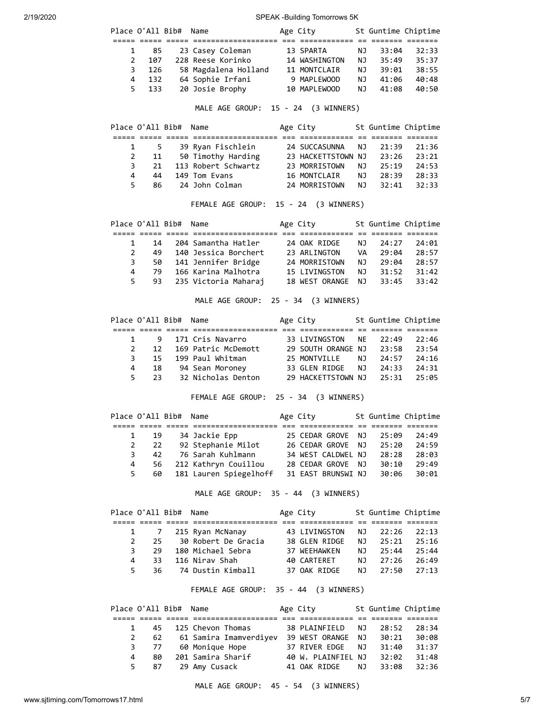| Place O'All Bib# |     | Name                 | Age City      |     | St Guntime Chiptime |       |
|------------------|-----|----------------------|---------------|-----|---------------------|-------|
|                  |     |                      |               |     |                     |       |
| $\mathbf{1}$     | -85 | 23 Casey Coleman     | 13 SPARTA     | NJ  | 33:04               | 32:33 |
| $\mathcal{L}$    | 107 | 228 Reese Korinko    | 14 WASHINGTON | NJ  | 35:49               | 35:37 |
| 3                | 126 | 58 Magdalena Holland | 11 MONTCLAIR  | NJ  | 39:01               | 38:55 |
| 4                | 132 | 64 Sophie Irfani     | 9 MAPLEWOOD   | NJ. | 41:06               | 40:48 |
| 5.               | 133 | 20 Josie Brophy      | 10 MAPLEWOOD  | ΝJ  | 41:08               | 40:50 |

MALE AGE GROUP: 15 - 24 (3 WINNERS)

|    |    | Place O'All Bib# Name |                     | Age City           |      | St Guntime Chiptime |       |
|----|----|-----------------------|---------------------|--------------------|------|---------------------|-------|
|    |    |                       |                     |                    |      |                     |       |
|    | 5. |                       | 39 Ryan Fischlein   | 24 SUCCASUNNA      | NJ   | 21:39               | 21:36 |
| 2  | 11 |                       | 50 Timothy Harding  | 23 HACKETTSTOWN NJ |      | 23:26               | 23:21 |
| 3  | 21 |                       | 113 Robert Schwartz | 23 MORRISTOWN      | NJ   | 25:19               | 24:53 |
| 4  | 44 |                       | 149 Tom Evans       | 16 MONTCLAIR       | NJ N | 28:39               | 28:33 |
| 5. | 86 |                       | 24 John Colman      | 24 MORRISTOWN      | NJ.  | 32:41               | 32:33 |

# FEMALE AGE GROUP: 15 - 24 (3 WINNERS)

|              |    | Place O'All Bib# Name |                      | Age City       |           | St Guntime Chiptime |       |
|--------------|----|-----------------------|----------------------|----------------|-----------|---------------------|-------|
|              |    |                       |                      |                |           |                     |       |
| $\mathbf{1}$ | 14 |                       | 204 Samantha Hatler  | 24 OAK RIDGE   | NJ.       | 24:27               | 24:01 |
| 2            | 49 |                       | 140 Jessica Borchert | 23 ARLINGTON   | <b>VA</b> | 29:04               | 28:57 |
| 3            | 50 |                       | 141 Jennifer Bridge  | 24 MORRISTOWN  | NJ        | 79:04               | 28:57 |
| 4            | 79 |                       | 166 Karina Malhotra  | 15 LIVINGSTON  | ΝJ        | 31:52               | 31:42 |
| 5            | 93 |                       | 235 Victoria Maharaj | 18 WEST ORANGE | NJ.       | 33:45               | 33:42 |

MALE AGE GROUP: 25 - 34 (3 WINNERS)

|               | Place O'All Bib# Name |                        | Age City                 | St Guntime Chiptime |       |
|---------------|-----------------------|------------------------|--------------------------|---------------------|-------|
|               |                       |                        |                          |                     |       |
|               |                       | 1 9 171 Cris Navarro   | 33 LIVINGSTON NE 22:49   |                     | 22:46 |
| $\mathcal{P}$ |                       | 12 169 Patric McDemott | 29 SOUTH ORANGE NJ 23:58 |                     | 23:54 |
| 3             |                       | 15 199 Paul Whitman    | 25 MONTVILLE NJ 24:57    |                     | 24:16 |
| 4             | 18                    | 94 Sean Moroney        | 33 GLEN RIDGE            | NJ 24:33            | 24:31 |
| 5.            |                       | 23 32 Nicholas Denton  | 29 HACKETTSTOWN NJ 25:31 |                     | 25:05 |

FEMALE AGE GROUP: 25 - 34 (3 WINNERS)

|   | Place O'All Bib# Name |                        | Age City           |  | St Guntime Chiptime |       |
|---|-----------------------|------------------------|--------------------|--|---------------------|-------|
|   |                       |                        |                    |  |                     |       |
| 1 | 19                    | 34 Jackie Epp          | 25 CEDAR GROVE NJ  |  | 25:09               | 24:49 |
| 2 | 22                    | 92 Stephanie Milot     | 26 CEDAR GROVE NJ  |  | 25:20               | 24:59 |
|   | 3<br>42               | 76 Sarah Kuhlmann      | 34 WEST CALDWEL NJ |  | 28:28               | 28:03 |
| 4 | 56                    | 212 Kathryn Couillou   | 28 CEDAR GROVE NJ  |  | 30:10               | 29:49 |
|   | 60<br>5               | 181 Lauren Spiegelhoff | 31 EAST BRUNSWI NJ |  | 30:06               | 30:01 |

MALE AGE GROUP: 35 - 44 (3 WINNERS)

|    |     | Place O'All Bib# Name |                      | Age City      |     | St Guntime Chiptime |       |
|----|-----|-----------------------|----------------------|---------------|-----|---------------------|-------|
|    |     |                       |                      |               |     |                     |       |
|    |     |                       | 1 7 215 Ryan McNanay | 43 LIVINGSTON | NJ  | 22:26               | 22:13 |
| 2  | 25  |                       | 30 Robert De Gracia  | 38 GLEN RIDGE | NJ. | 25:21               | 25:16 |
| 3  | 29  |                       | 180 Michael Sebra    | 37 WEEHAWKEN  | NJ. | 25:44               | 25:44 |
| 4  | 33. |                       | 116 Nirav Shah       | 40 CARTERET   | NJ. | 27:26               | 26:49 |
| 5. | 36. |                       | 74 Dustin Kimball    | 37 OAK RIDGE  | NJ. | 27:50               | 27:13 |

FEMALE AGE GROUP: 35 - 44 (3 WINNERS)

| Place O'All Bib# Name |    |                        | Age City           |      | St Guntime Chiptime |       |
|-----------------------|----|------------------------|--------------------|------|---------------------|-------|
|                       |    |                        |                    |      |                     |       |
| $\mathbf{1}$          | 45 | 125 Chevon Thomas      | 38 PLAINFIELD      | . NJ | 28:52               | 28:34 |
| 2                     | 62 | 61 Samira Imamverdiyev | 39 WEST ORANGE NJ  |      | 30:21               | 30:08 |
| 3                     | 77 | 60 Monique Hope        | 37 RIVER EDGE      | NJ   | 31:40               | 31:37 |
| 4                     | 80 | 201 Samira Sharif      | 40 W. PLAINFIEL NJ |      | 32:02               | 31:48 |
| 5                     | 87 | 29 Amy Cusack          | 41 OAK RIDGE       | NJ N | 33:08               | 32:36 |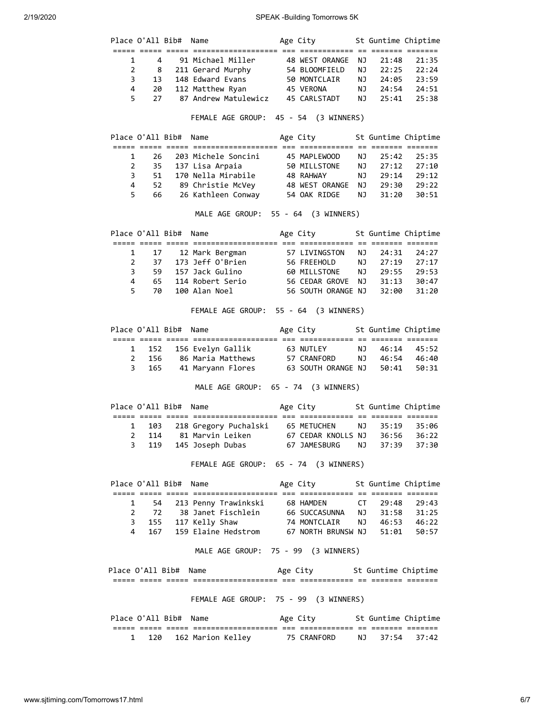| Place O'All Bib# |                  |                       | Name                                                                                                                                                               | Age City                                 |    | St Guntime Chiptime  |             |
|------------------|------------------|-----------------------|--------------------------------------------------------------------------------------------------------------------------------------------------------------------|------------------------------------------|----|----------------------|-------------|
| $\mathbf 1$      | 4                |                       |                                                                                                                                                                    |                                          | ΝJ | 21:48                | 21:35       |
| $\overline{2}$   | 8                |                       | 91 Michael Miller 48 WEST ORANGE<br>211 Gerard Murphy 54 BLOOMFIELD                                                                                                |                                          | NJ | 22:25                | 22:24       |
| 3                | 13               |                       | 148 Edward Evans                                                                                                                                                   | 50 MONTCLAIR                             |    | NJ<br>24:05          | 23:59       |
| 4                | 20               |                       | 112 Matthew Ryan                                                                                                                                                   | 45 VERONA                                | NJ | 24:54                | 24:51       |
| 5                | 27               |                       | 87 Andrew Matulewicz                                                                                                                                               | 45 CARLSTADT                             | NJ | 25:41                | 25:38       |
|                  |                  |                       |                                                                                                                                                                    |                                          |    |                      |             |
|                  |                  |                       | FEMALE AGE GROUP: 45 - 54 (3 WINNERS)                                                                                                                              |                                          |    |                      |             |
|                  |                  | Place O'All Bib#      | Name                                                                                                                                                               | Age City 5t Guntime Chiptime             |    |                      |             |
| 1                | 26               |                       | 203 Michele Soncini                                                                                                                                                | 45 MAPLEWOOD                             | ΝJ | 25:42                | 25:35       |
| 2                | 35               |                       | 137 Lisa Arpaia                                                                                                                                                    | 50 MILLSTONE                             | NJ | 27:12                | 27:10       |
| 3                | 51               |                       | 170 Nella Mirabile                                                                                                                                                 | 48 RAHWAY                                | NJ | 29:14                | 29:12       |
| $\overline{4}$   | 52               |                       | 89 Christie McVey                                                                                                                                                  | 48 WEST ORANGE                           | NJ | 29:30                | 29:22       |
| 5                | 66               |                       | 26 Kathleen Conway                                                                                                                                                 | 54 OAK RIDGE                             | NJ | 31:20                | 30:51       |
|                  |                  |                       | MALE AGE GROUP: 55 - 64 (3 WINNERS)                                                                                                                                |                                          |    |                      |             |
|                  |                  | Place O'All Bib#      | Name                                                                                                                                                               | Age City                                 |    | St Guntime Chiptime  |             |
| 1                | 17               |                       | 12 Mark Bergman                                                                                                                                                    | 57 LIVINGSTON                            | ΝJ | 24:31                | 24:27       |
| $\overline{2}$   | 37               |                       | 173 Jeff O'Brien                                                                                                                                                   | 56 FREEHOLD                              |    |                      | 27:17       |
| 3                | 59               |                       | 157 Jack Gulino                                                                                                                                                    | 60 MILLSTONE                             |    | NJ 27:19<br>NJ 29:55 | 29:53       |
| 4                | 65               |                       | 114 Robert Serio                                                                                                                                                   | 56 CEDAR GROVE                           |    | NJ 31:13             | 30:47       |
| 5                | 70               |                       | 100 Alan Noel                                                                                                                                                      | 56 SOUTH ORANGE NJ                       |    | 32:00                | 31:20       |
|                  |                  |                       | FEMALE AGE GROUP: 55 - 64 (3 WINNERS)                                                                                                                              |                                          |    |                      |             |
|                  | Place O'All Bib# |                       | Name                                                                                                                                                               | Age City                                 |    | St Guntime Chiptime  |             |
| 1                | 152              |                       | 156 Evelyn Gallik                                                                                                                                                  | 63 NUTLEY                                | NJ | 46:14                | 45:52       |
| $\overline{2}$   | 156              |                       | 86 Maria Matthews                                                                                                                                                  | 57 CRANFORD                              | NJ |                      | 46:54 46:40 |
| 3                | 165              |                       | 41 Maryann Flores                                                                                                                                                  | 63 SOUTH ORANGE NJ                       |    | 50:41                | 50:31       |
|                  |                  |                       | MALE AGE GROUP: 65 - 74 (3 WINNERS)                                                                                                                                |                                          |    |                      |             |
|                  | Place O'All Bib# |                       | Name                                                                                                                                                               | Age City                                 |    | St Guntime Chiptime  |             |
|                  |                  |                       |                                                                                                                                                                    |                                          |    |                      |             |
| 1                | 103              |                       | 218 Gregory Puchalski                                                                                                                                              | 65 METUCHEN                              | ΝJ | 35:19                | 35:06       |
| $\overline{2}$   | 114              |                       | 81 Marvin Leiken                                                                                                                                                   | 67 CEDAR KNOLLS NJ                       |    | 36:56                | 36:22       |
| 3                | 119              |                       | 145 Joseph Dubas 67 JAMESBURG NJ                                                                                                                                   |                                          |    | 37:39                | 37:30       |
|                  |                  |                       | FEMALE AGE GROUP: 65 - 74 (3 WINNERS)                                                                                                                              |                                          |    |                      |             |
|                  |                  | Place O'All Bib#      | Name                                                                                                                                                               | Age City 5t Guntime Chiptime             |    |                      |             |
| 1                | 54               |                       | 213 Penny Trawinkski 68 HAMDEN                                                                                                                                     |                                          |    | CT 29:48             | 29:43       |
|                  |                  |                       |                                                                                                                                                                    |                                          |    |                      |             |
|                  |                  |                       |                                                                                                                                                                    |                                          |    |                      |             |
|                  |                  |                       | 72 38 Janet Fischlein 66 SUCCASUNNA NJ 31:58 31:25<br>3 155 117 Kelly Shaw 74 MONTCLAIR NJ 46:53 46:22<br>4 167 159 Elaine Hedstrom 67 NORTH BRUNSW NJ 51:01 50:57 |                                          |    |                      |             |
|                  |                  |                       | MALE AGE GROUP: 75 - 99 (3 WINNERS)                                                                                                                                |                                          |    |                      |             |
|                  |                  |                       |                                                                                                                                                                    |                                          |    |                      |             |
|                  |                  | Place O'All Bib# Name |                                                                                                                                                                    | Age City             St Guntime Chiptime |    |                      |             |
|                  |                  |                       | FEMALE AGE GROUP: 75 - 99 (3 WINNERS)                                                                                                                              |                                          |    |                      |             |
|                  |                  | Place O'All Bib# Name |                                                                                                                                                                    | Age City 5t Guntime Chiptime             |    |                      |             |
| 1                | 120              |                       | 162 Marion Kelley 75 CRANFORD                                                                                                                                      |                                          |    | NJ 37:54 37:42       |             |